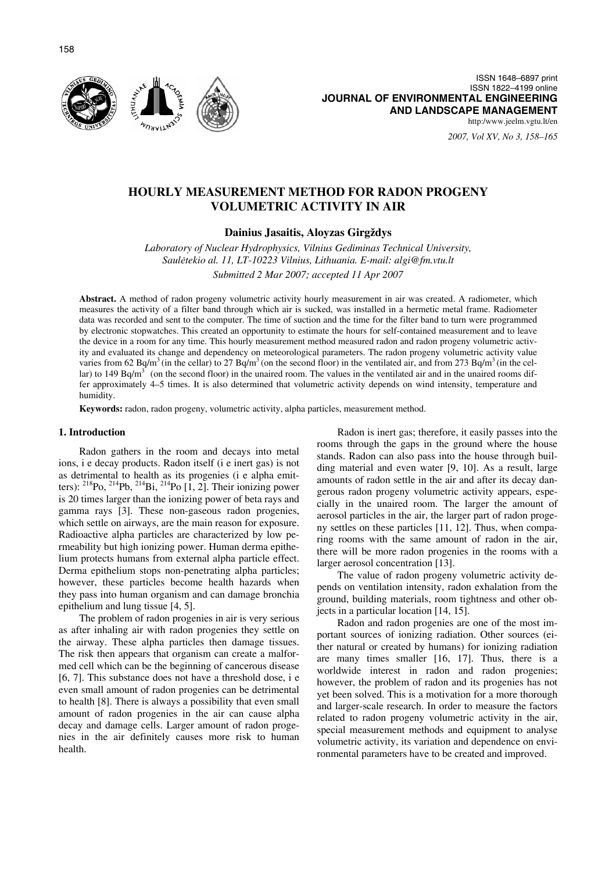

ISSN 1648–6897 print ISSN 1822–4199 online **JOURNAL OF ENVIRONMENTAL ENGINEERING AND LANDSCAPE MANAGEMENT** http:/www.jeelm.vgtu.lt/en

*2007, Vol XV, No 3, 158–165*

# **HOURLY MEASUREMENT METHOD FOR RADON PROGENY VOLUMETRIC ACTIVITY IN AIR**

# **Dainius Jasaitis, Aloyzas Girgždys**

*Laboratory of Nuclear Hydrophysics, Vilnius Gediminas Technical University, Saul*ė*tekio al. 11, LT-10223 Vilnius, Lithuania. E-mail: algi@fm.vtu.lt Submitted 2 Mar 2007; accepted 11 Apr 2007* 

**Abstract.** A method of radon progeny volumetric activity hourly measurement in air was created. A radiometer, which measures the activity of a filter band through which air is sucked, was installed in a hermetic metal frame. Radiometer data was recorded and sent to the computer. The time of suction and the time for the filter band to turn were programmed by electronic stopwatches. This created an opportunity to estimate the hours for self-contained measurement and to leave the device in a room for any time. This hourly measurement method measured radon and radon progeny volumetric activity and evaluated its change and dependency on meteorological parameters. The radon progeny volumetric activity value varies from 62 Bq/m<sup>3</sup> (in the cellar) to 27 Bq/m<sup>3</sup> (on the second floor) in the ventilated air, and from 273 Bq/m<sup>3</sup> (in the cellar) to 149 Bq/m<sup>3</sup> (on the second floor) in the unaired room. The values in the ventilated air and in the unaired rooms differ approximately 4–5 times. It is also determined that volumetric activity depends on wind intensity, temperature and humidity.

**Keywords:** radon, radon progeny, volumetric activity, alpha particles, measurement method.

#### **1. Introduction**

Radon gathers in the room and decays into metal ions, i e decay products. Radon itself (i e inert gas) is not as detrimental to health as its progenies (i e alpha emitters):  $^{218}P_0$ ,  $^{214}P_0$ ,  $^{214}Bi$ ,  $^{214}P_0$  [1, 2]. Their ionizing power is 20 times larger than the ionizing power of beta rays and gamma rays [3]. These non-gaseous radon progenies, which settle on airways, are the main reason for exposure. Radioactive alpha particles are characterized by low permeability but high ionizing power. Human derma epithelium protects humans from external alpha particle effect. Derma epithelium stops non-penetrating alpha particles; however, these particles become health hazards when they pass into human organism and can damage bronchia epithelium and lung tissue [4, 5].

The problem of radon progenies in air is very serious as after inhaling air with radon progenies they settle on the airway. These alpha particles then damage tissues. The risk then appears that organism can create a malformed cell which can be the beginning of cancerous disease [6, 7]. This substance does not have a threshold dose, i e even small amount of radon progenies can be detrimental to health [8]. There is always a possibility that even small amount of radon progenies in the air can cause alpha decay and damage cells. Larger amount of radon progenies in the air definitely causes more risk to human health.

Radon is inert gas; therefore, it easily passes into the rooms through the gaps in the ground where the house stands. Radon can also pass into the house through building material and even water [9, 10]. As a result, large amounts of radon settle in the air and after its decay dangerous radon progeny volumetric activity appears, especially in the unaired room. The larger the amount of aerosol particles in the air, the larger part of radon progeny settles on these particles [11, 12]. Thus, when comparing rooms with the same amount of radon in the air, there will be more radon progenies in the rooms with a larger aerosol concentration [13].

The value of radon progeny volumetric activity depends on ventilation intensity, radon exhalation from the ground, building materials, room tightness and other objects in a particular location [14, 15].

Radon and radon progenies are one of the most important sources of ionizing radiation. Other sources (either natural or created by humans) for ionizing radiation are many times smaller [16, 17]. Thus, there is a worldwide interest in radon and radon progenies; however, the problem of radon and its progenies has not yet been solved. This is a motivation for a more thorough and larger-scale research. In order to measure the factors related to radon progeny volumetric activity in the air, special measurement methods and equipment to analyse volumetric activity, its variation and dependence on environmental parameters have to be created and improved.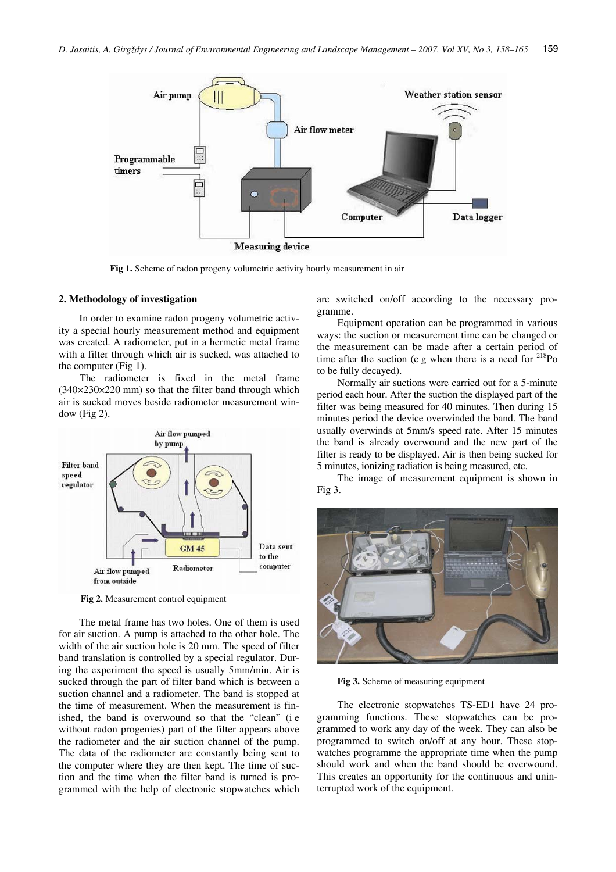

**Fig 1.** Scheme of radon progeny volumetric activity hourly measurement in air

### **2. Methodology of investigation**

In order to examine radon progeny volumetric activity a special hourly measurement method and equipment was created. A radiometer, put in a hermetic metal frame with a filter through which air is sucked, was attached to the computer (Fig 1).

The radiometer is fixed in the metal frame (340×230×220 mm) so that the filter band through which air is sucked moves beside radiometer measurement window (Fig 2).



**Fig 2.** Measurement control equipment

The metal frame has two holes. One of them is used for air suction. A pump is attached to the other hole. The width of the air suction hole is 20 mm. The speed of filter band translation is controlled by a special regulator. During the experiment the speed is usually 5mm/min. Air is sucked through the part of filter band which is between a suction channel and a radiometer. The band is stopped at the time of measurement. When the measurement is finished, the band is overwound so that the "clean" (i e without radon progenies) part of the filter appears above the radiometer and the air suction channel of the pump. The data of the radiometer are constantly being sent to the computer where they are then kept. The time of suction and the time when the filter band is turned is programmed with the help of electronic stopwatches which are switched on/off according to the necessary programme.

Equipment operation can be programmed in various ways: the suction or measurement time can be changed or the measurement can be made after a certain period of time after the suction (e g when there is a need for  $^{218}$ Po to be fully decayed).

Normally air suctions were carried out for a 5-minute period each hour. After the suction the displayed part of the filter was being measured for 40 minutes. Then during 15 minutes period the device overwinded the band. The band usually overwinds at 5mm/s speed rate. After 15 minutes the band is already overwound and the new part of the filter is ready to be displayed. Air is then being sucked for 5 minutes, ionizing radiation is being measured, etc.

The image of measurement equipment is shown in Fig 3.



**Fig 3.** Scheme of measuring equipment

The electronic stopwatches TS-ED1 have 24 programming functions. These stopwatches can be programmed to work any day of the week. They can also be programmed to switch on/off at any hour. These stopwatches programme the appropriate time when the pump should work and when the band should be overwound. This creates an opportunity for the continuous and uninterrupted work of the equipment.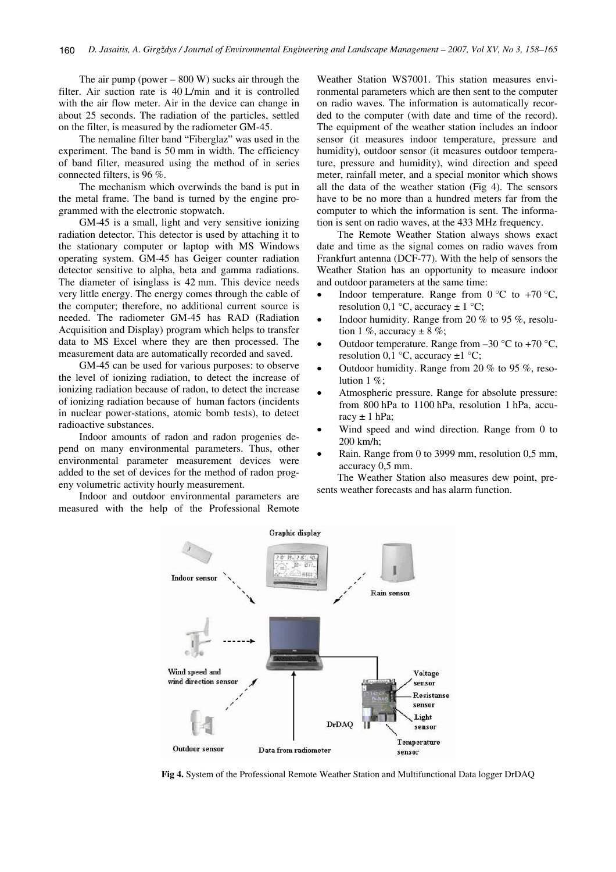The air pump (power  $-$  800 W) sucks air through the filter. Air suction rate is 40 L/min and it is controlled with the air flow meter. Air in the device can change in about 25 seconds. The radiation of the particles, settled on the filter, is measured by the radiometer GM-45.

The nemaline filter band "Fiberglaz" was used in the experiment. The band is 50 mm in width. The efficiency of band filter, measured using the method of in series connected filters, is 96 %.

The mechanism which overwinds the band is put in the metal frame. The band is turned by the engine programmed with the electronic stopwatch.

GM-45 is a small, light and very sensitive ionizing radiation detector. This detector is used by attaching it to the stationary computer or laptop with MS Windows operating system. GM-45 has Geiger counter radiation detector sensitive to alpha, beta and gamma radiations. The diameter of isinglass is 42 mm. This device needs very little energy. The energy comes through the cable of the computer; therefore, no additional current source is needed. The radiometer GM-45 has RAD (Radiation Acquisition and Display) program which helps to transfer data to MS Excel where they are then processed. The measurement data are automatically recorded and saved.

GM-45 can be used for various purposes: to observe the level of ionizing radiation, to detect the increase of ionizing radiation because of radon, to detect the increase of ionizing radiation because of human factors (incidents in nuclear power-stations, atomic bomb tests), to detect radioactive substances.

Indoor amounts of radon and radon progenies depend on many environmental parameters. Thus, other environmental parameter measurement devices were added to the set of devices for the method of radon progeny volumetric activity hourly measurement.

Indoor and outdoor environmental parameters are measured with the help of the Professional Remote Weather Station WS7001. This station measures environmental parameters which are then sent to the computer on radio waves. The information is automatically recorded to the computer (with date and time of the record). The equipment of the weather station includes an indoor sensor (it measures indoor temperature, pressure and humidity), outdoor sensor (it measures outdoor temperature, pressure and humidity), wind direction and speed meter, rainfall meter, and a special monitor which shows all the data of the weather station (Fig 4). The sensors have to be no more than a hundred meters far from the computer to which the information is sent. The information is sent on radio waves, at the 433 MHz frequency.

The Remote Weather Station always shows exact date and time as the signal comes on radio waves from Frankfurt antenna (DCF-77). With the help of sensors the Weather Station has an opportunity to measure indoor and outdoor parameters at the same time:<br>
• Indoor temperature, Banga from (

- Indoor temperature. Range from  $0^{\circ}$ C to +70  $^{\circ}$ C, resolution 0,1 °C, accuracy  $\pm$  1 °C;
- • Indoor humidity. Range from 20 % to 95 %, resolution 1 %, accuracy  $\pm 8$  %;
- •Outdoor temperature. Range from  $-30$  °C to  $+70$  °C, resolution 0,1  $\degree$ C, accuracy  $\pm$ 1  $\degree$ C;
- • Outdoor humidity. Range from 20 % to 95 %, resolution 1 %;
- • Atmospheric pressure. Range for absolute pressure: from 800 hPa to 1100 hPa, resolution 1 hPa, accuracy  $\pm$  1 hPa;
- • Wind speed and wind direction. Range from 0 to 200 km/h;
- • Rain. Range from 0 to 3999 mm, resolution 0,5 mm, accuracy 0,5 mm.

The Weather Station also measures dew point, presents weather forecasts and has alarm function.



**Fig 4.** System of the Professional Remote Weather Station and Multifunctional Data logger DrDAQ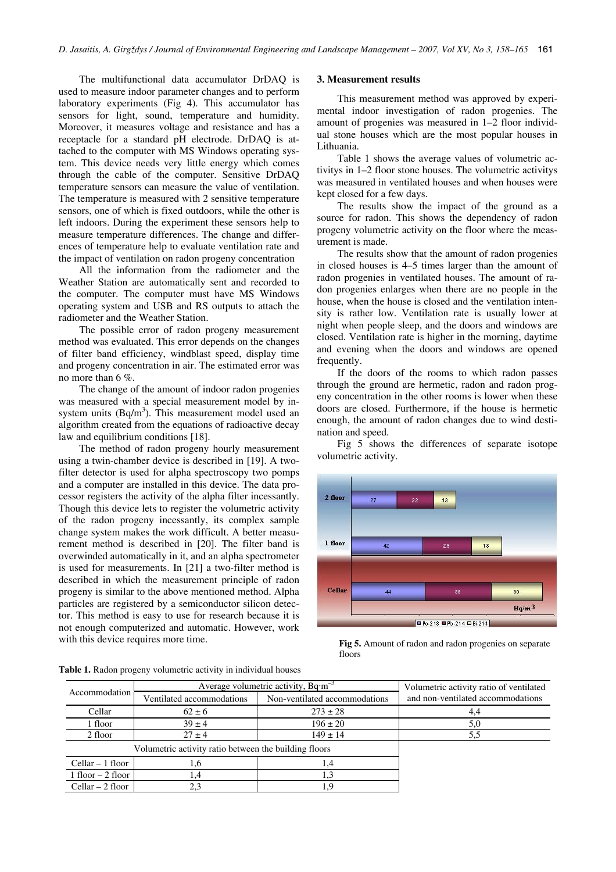The multifunctional data accumulator DrDAQ is used to measure indoor parameter changes and to perform laboratory experiments (Fig 4). This accumulator has sensors for light, sound, temperature and humidity. Moreover, it measures voltage and resistance and has a receptacle for a standard pH electrode. DrDAQ is attached to the computer with MS Windows operating system. This device needs very little energy which comes through the cable of the computer. Sensitive DrDAQ temperature sensors can measure the value of ventilation. The temperature is measured with 2 sensitive temperature sensors, one of which is fixed outdoors, while the other is left indoors. During the experiment these sensors help to measure temperature differences. The change and differences of temperature help to evaluate ventilation rate and the impact of ventilation on radon progeny concentration

All the information from the radiometer and the Weather Station are automatically sent and recorded to the computer. The computer must have MS Windows operating system and USB and RS outputs to attach the radiometer and the Weather Station.

The possible error of radon progeny measurement method was evaluated. This error depends on the changes of filter band efficiency, windblast speed, display time and progeny concentration in air. The estimated error was no more than 6 %.

The change of the amount of indoor radon progenies was measured with a special measurement model by insystem units  $(Bq/m<sup>3</sup>)$ . This measurement model used an algorithm created from the equations of radioactive decay law and equilibrium conditions [18].

The method of radon progeny hourly measurement using a twin-chamber device is described in [19]. A twofilter detector is used for alpha spectroscopy two pomps and a computer are installed in this device. The data processor registers the activity of the alpha filter incessantly. Though this device lets to register the volumetric activity of the radon progeny incessantly, its complex sample change system makes the work difficult. A better measurement method is described in [20]. The filter band is overwinded automatically in it, and an alpha spectrometer is used for measurements. In [21] a two-filter method is described in which the measurement principle of radon progeny is similar to the above mentioned method. Alpha particles are registered by a semiconductor silicon detector. This method is easy to use for research because it is not enough computerized and automatic. However, work with this device requires more time.

#### **3. Measurement results**

This measurement method was approved by experimental indoor investigation of radon progenies. The amount of progenies was measured in 1–2 floor individual stone houses which are the most popular houses in Lithuania.

Table 1 shows the average values of volumetric activitys in 1–2 floor stone houses. The volumetric activitys was measured in ventilated houses and when houses were kept closed for a few days.

The results show the impact of the ground as a source for radon. This shows the dependency of radon progeny volumetric activity on the floor where the measurement is made.

The results show that the amount of radon progenies in closed houses is 4–5 times larger than the amount of radon progenies in ventilated houses. The amount of radon progenies enlarges when there are no people in the house, when the house is closed and the ventilation intensity is rather low. Ventilation rate is usually lower at night when people sleep, and the doors and windows are closed. Ventilation rate is higher in the morning, daytime and evening when the doors and windows are opened frequently.

If the doors of the rooms to which radon passes through the ground are hermetic, radon and radon progeny concentration in the other rooms is lower when these doors are closed. Furthermore, if the house is hermetic enough, the amount of radon changes due to wind destination and speed.

Fig 5 shows the differences of separate isotope volumetric activity.



**Fig 5.** Amount of radon and radon progenies on separate floors

**Table 1.** Radon progeny volumetric activity in individual houses

| Accommodation                                         | Average volumetric activity, $Bq·m^{-3}$ |                               | Volumetric activity ratio of ventilated |
|-------------------------------------------------------|------------------------------------------|-------------------------------|-----------------------------------------|
|                                                       | Ventilated accommodations                | Non-ventilated accommodations | and non-ventilated accommodations       |
| Cellar                                                | $62 \pm 6$                               | $273 \pm 28$                  |                                         |
| 1 floor                                               | $39 \pm 4$                               | $196 \pm 20$                  | 5,0                                     |
| 2 floor                                               | $27 \pm 4$                               | $149 \pm 14$                  |                                         |
| Volumetric activity ratio between the building floors |                                          |                               |                                         |
| $Cellar - 1$ floor                                    | 1,6                                      | 1,4                           |                                         |
| $1$ floor $-2$ floor                                  | 1.4                                      | 1.3                           |                                         |
| $Cellar - 2$ floor                                    | 2,3                                      | ιq                            |                                         |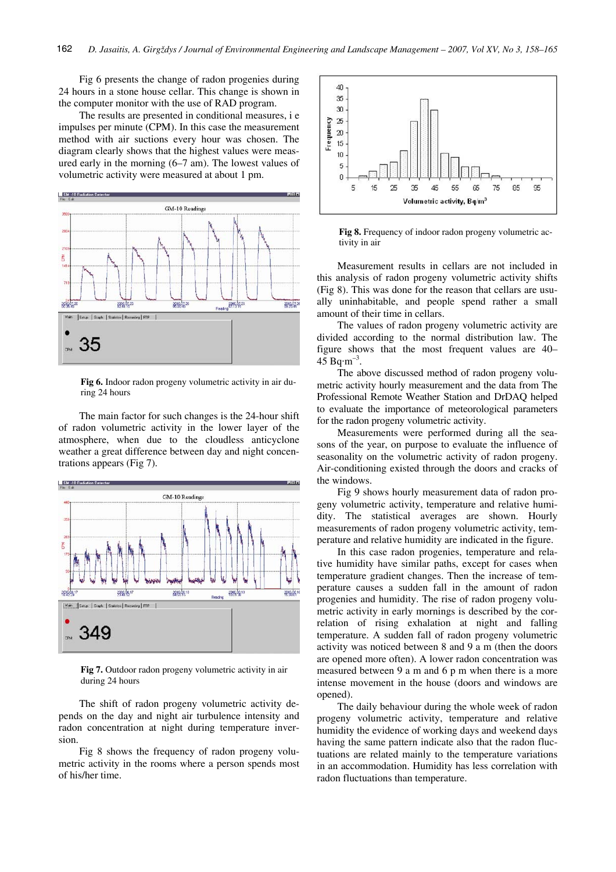Fig 6 presents the change of radon progenies during 24 hours in a stone house cellar. This change is shown in the computer monitor with the use of RAD program.

The results are presented in conditional measures, i e impulses per minute (CPM). In this case the measurement method with air suctions every hour was chosen. The diagram clearly shows that the highest values were measured early in the morning (6–7 am). The lowest values of volumetric activity were measured at about 1 pm.



**Fig 6.** Indoor radon progeny volumetric activity in air during 24 hours

The main factor for such changes is the 24-hour shift of radon volumetric activity in the lower layer of the atmosphere, when due to the cloudless anticyclone weather a great difference between day and night concentrations appears (Fig 7).



**Fig 7.** Outdoor radon progeny volumetric activity in air during 24 hours

The shift of radon progeny volumetric activity depends on the day and night air turbulence intensity and radon concentration at night during temperature inversion.

Fig 8 shows the frequency of radon progeny volumetric activity in the rooms where a person spends most of his/her time.



**Fig 8.** Frequency of indoor radon progeny volumetric activity in air

Measurement results in cellars are not included in this analysis of radon progeny volumetric activity shifts (Fig 8). This was done for the reason that cellars are usually uninhabitable, and people spend rather a small amount of their time in cellars.

The values of radon progeny volumetric activity are divided according to the normal distribution law. The figure shows that the most frequent values are 40– 45  $\text{Bq} \cdot \text{m}^{-3}$ .

The above discussed method of radon progeny volumetric activity hourly measurement and the data from The Professional Remote Weather Station and DrDAQ helped to evaluate the importance of meteorological parameters for the radon progeny volumetric activity.

Measurements were performed during all the seasons of the year, on purpose to evaluate the influence of seasonality on the volumetric activity of radon progeny. Air-conditioning existed through the doors and cracks of the windows.

Fig 9 shows hourly measurement data of radon progeny volumetric activity, temperature and relative humidity. The statistical averages are shown. Hourly measurements of radon progeny volumetric activity, temperature and relative humidity are indicated in the figure.

In this case radon progenies, temperature and relative humidity have similar paths, except for cases when temperature gradient changes. Then the increase of temperature causes a sudden fall in the amount of radon progenies and humidity. The rise of radon progeny volumetric activity in early mornings is described by the correlation of rising exhalation at night and falling temperature. A sudden fall of radon progeny volumetric activity was noticed between 8 and 9 a m (then the doors are opened more often). A lower radon concentration was measured between 9 a m and 6 p m when there is a more intense movement in the house (doors and windows are opened).

The daily behaviour during the whole week of radon progeny volumetric activity, temperature and relative humidity the evidence of working days and weekend days having the same pattern indicate also that the radon fluctuations are related mainly to the temperature variations in an accommodation. Humidity has less correlation with radon fluctuations than temperature.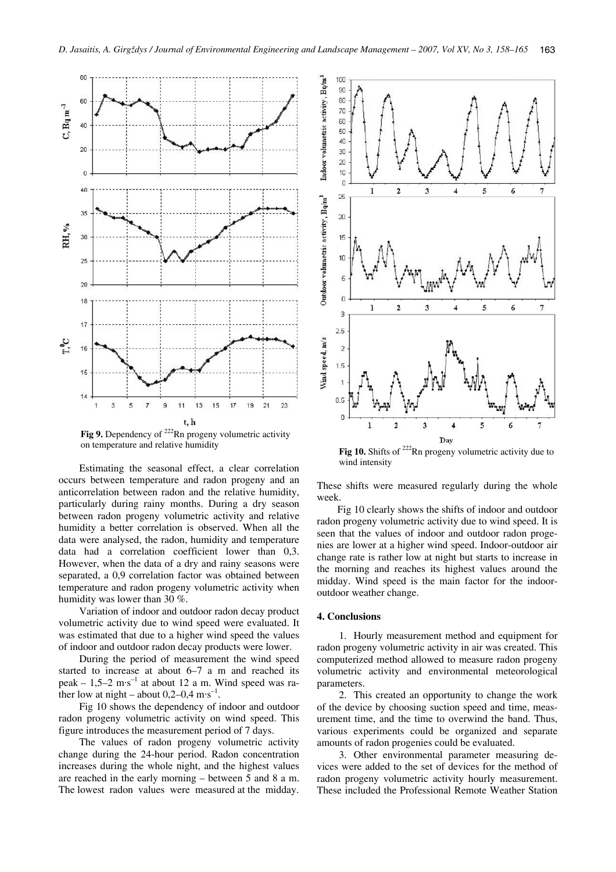

**Fig 9.** Dependency of <sup>222</sup>Rn progeny volumetric activity on temperature and relative humidity

Estimating the seasonal effect, a clear correlation occurs between temperature and radon progeny and an anticorrelation between radon and the relative humidity, particularly during rainy months. During a dry season between radon progeny volumetric activity and relative humidity a better correlation is observed. When all the data were analysed, the radon, humidity and temperature data had a correlation coefficient lower than 0,3. However, when the data of a dry and rainy seasons were separated, a 0,9 correlation factor was obtained between temperature and radon progeny volumetric activity when humidity was lower than 30 %.

Variation of indoor and outdoor radon decay product volumetric activity due to wind speed were evaluated. It was estimated that due to a higher wind speed the values of indoor and outdoor radon decay products were lower.

During the period of measurement the wind speed started to increase at about 6–7 a m and reached its peak –  $1,5-2$  m·s<sup>-1</sup> at about 12 a m. Wind speed was rather low at night – about  $0,2-0,4$  m·s<sup>-1</sup>.

Fig 10 shows the dependency of indoor and outdoor radon progeny volumetric activity on wind speed. This figure introduces the measurement period of 7 days.

The values of radon progeny volumetric activity change during the 24-hour period. Radon concentration increases during the whole night, and the highest values are reached in the early morning – between 5 and 8 a m. The lowest radon values were measured at the midday.



Fig 10. Shifts of <sup>222</sup>Rn progeny volumetric activity due to wind intensity

These shifts were measured regularly during the whole week.

Fig 10 clearly shows the shifts of indoor and outdoor radon progeny volumetric activity due to wind speed. It is seen that the values of indoor and outdoor radon progenies are lower at a higher wind speed. Indoor-outdoor air change rate is rather low at night but starts to increase in the morning and reaches its highest values around the midday. Wind speed is the main factor for the indooroutdoor weather change.

# **4. Conclusions**

1. Hourly measurement method and equipment for radon progeny volumetric activity in air was created. This computerized method allowed to measure radon progeny volumetric activity and environmental meteorological parameters.

2. This created an opportunity to change the work of the device by choosing suction speed and time, measurement time, and the time to overwind the band. Thus, various experiments could be organized and separate amounts of radon progenies could be evaluated.

3. Other environmental parameter measuring devices were added to the set of devices for the method of radon progeny volumetric activity hourly measurement. These included the Professional Remote Weather Station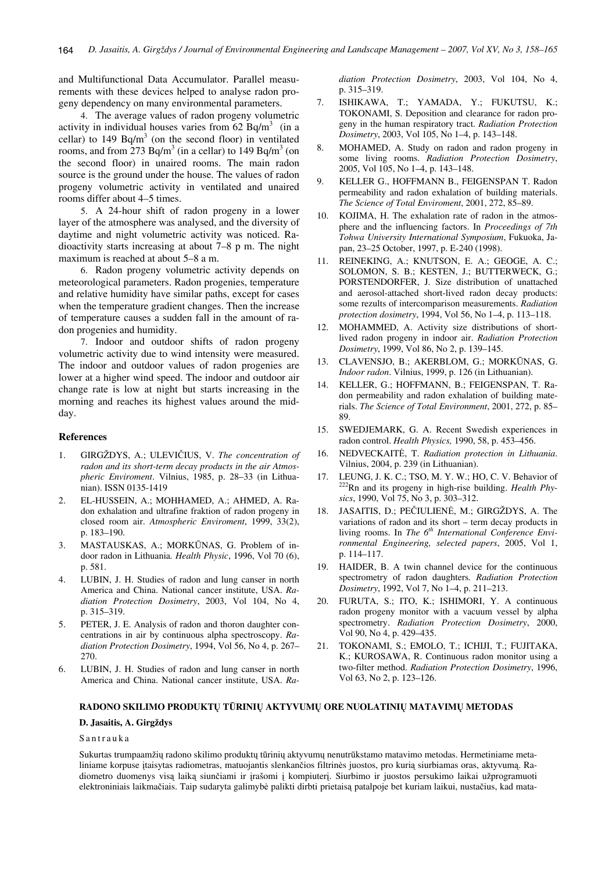and Multifunctional Data Accumulator. Parallel measurements with these devices helped to analyse radon progeny dependency on many environmental parameters.

4. The average values of radon progeny volumetric activity in individual houses varies from  $62$  Bq/m<sup>3</sup> (in a cellar) to 149 Bq/m<sup>3</sup> (on the second floor) in ventilated rooms, and from  $273$  Bq/m<sup>3</sup> (in a cellar) to 149 Bq/m<sup>3</sup> (on the second floor) in unaired rooms. The main radon source is the ground under the house. The values of radon progeny volumetric activity in ventilated and unaired rooms differ about 4–5 times.

5. A 24-hour shift of radon progeny in a lower layer of the atmosphere was analysed, and the diversity of daytime and night volumetric activity was noticed. Radioactivity starts increasing at about 7–8 p m. The night maximum is reached at about 5–8 a m.

6. Radon progeny volumetric activity depends on meteorological parameters. Radon progenies, temperature and relative humidity have similar paths, except for cases when the temperature gradient changes. Then the increase of temperature causes a sudden fall in the amount of radon progenies and humidity.

7. Indoor and outdoor shifts of radon progeny volumetric activity due to wind intensity were measured. The indoor and outdoor values of radon progenies are lower at a higher wind speed. The indoor and outdoor air change rate is low at night but starts increasing in the morning and reaches its highest values around the midday.

# **References**

- 1. GIRGŽDYS, A.; ULEVIČIUS, V. *The concentration of radon and its short-term decay products in the air Atmospheric Enviroment*. Vilnius, 1985, p. 28–33 (in Lithuanian). ISSN 0135-1419
- 2. EL-HUSSEIN, A.; MOHHAMED, A.; AHMED, A. Radon exhalation and ultrafine fraktion of radon progeny in closed room air. *Atmospheric Enviroment*, 1999, 33(2), p. 183–190.
- 3. MASTAUSKAS, A.; MORKŪNAS, G. Problem of indoor radon in Lithuania*. Health Physic*, 1996, Vol 70 (6), p. 581.
- 4. LUBIN, J. H. Studies of radon and lung canser in north America and China. National cancer institute, USA. *Radiation Protection Dosimetry*, 2003, Vol 104, No 4, p. 315–319.
- 5. PETER, J. E. Analysis of radon and thoron daughter concentrations in air by continuous alpha spectroscopy. *Radiation Protection Dosimetry*, 1994, Vol 56, No 4, p. 267– 270.
- 6. LUBIN, J. H. Studies of radon and lung canser in north America and China. National cancer institute, USA. *Ra-*

*diation Protection Dosimetry*, 2003, Vol 104, No 4, p. 315–319.

- 7. ISHIKAWA, T.; YAMADA, Y.; FUKUTSU, K.; TOKONAMI, S. Deposition and clearance for radon progeny in the human respiratory tract. *Radiation Protection Dosimetry*, 2003, Vol 105, No 1–4, p. 143–148.
- 8. MOHAMED, A. Study on radon and radon progeny in some living rooms. *Radiation Protection Dosimetry*, 2005, Vol 105, No 1–4, p. 143–148.
- 9. KELLER G., HOFFMANN B., FEIGENSPAN T. Radon permeability and radon exhalation of building materials. *The Science of Total Enviroment*, 2001, 272, 85–89.
- 10. KOJIMA, H. The exhalation rate of radon in the atmosphere and the influencing factors. In *Proceedings of 7th Tohwa University International Symposium*, Fukuoka, Japan, 23–25 October, 1997, p. E-240 (1998).
- 11. REINEKING, A.; KNUTSON, E. A.; GEOGE, A. C.; SOLOMON, S. B.; KESTEN, J.; BUTTERWECK, G.; PORSTENDORFER, J. Size distribution of unattached and aerosol-attached short-lived radon decay products: some rezults of intercomparison measurements. *Radiation protection dosimetry*, 1994, Vol 56, No 1–4, p. 113–118.
- 12. MOHAMMED, A. Activity size distributions of shortlived radon progeny in indoor air. *Radiation Protection Dosimetry*, 1999, Vol 86, No 2, p. 139–145.
- 13. CLAVENSJO, B.; AKERBLOM, G.; MORKŪNAS, G. *Indoor radon*. Vilnius, 1999, p. 126 (in Lithuanian).
- 14. KELLER, G.; HOFFMANN, B.; FEIGENSPAN, T. Radon permeability and radon exhalation of building materials. *The Science of Total Environment*, 2001, 272, p. 85– 89.
- 15. SWEDJEMARK, G. A. Recent Swedish experiences in radon control. *Health Physics,* 1990, 58, p. 453–456.
- 16. NEDVECKAITĖ, T. *Radiation protection in Lithuania*. Vilnius, 2004, p. 239 (in Lithuanian).
- 17. LEUNG, J. K. C.; TSO, M. Y. W.; HO, C. V. Behavior of 222Rn and its progeny in high-rise building. *Health Physics*, 1990, Vol 75, No 3, p. 303–312.
- 18. JASAITIS, D.; PEČIULIENĖ, M.; GIRGŽDYS, A. The variations of radon and its short – term decay products in living rooms. In *The 6th International Conference Environmental Engineering, selected papers*, 2005, Vol 1, p. 114–117.
- 19. HAIDER, B. A twin channel device for the continuous spectrometry of radon daughters*. Radiation Protection Dosimetry*, 1992, Vol 7, No 1–4, p. 211–213.
- 20. FURUTA, S.; ITO, K.; ISHIMORI, Y. A continuous radon progeny monitor with a vacuum vessel by alpha spectrometry. *Radiation Protection Dosimetry*, 2000, Vol 90, No 4, p. 429–435.
- 21. TOKONAMI, S.; EMOLO, T.; ICHIJI, T.; FUJITAKA, K.; KUROSAWA, R. Continuous radon monitor using a two-filter method. *Radiation Protection Dosimetry*, 1996, Vol 63, No 2, p. 123–126.

### **RADONO SKILIMO PRODUKT**Ų **T**Ū**RINI**Ų **AKTYVUM**Ų **ORE NUOLATINI**Ų **MATAVIM**Ų **METODAS**

#### **D. Jasaitis, A. Girgždys**

### Santrauka

Sukurtas trumpaamžių radono skilimo produktų tūrinių aktyvumų nenutrūkstamo matavimo metodas. Hermetiniame metaliniame korpuse įtaisytas radiometras, matuojantis slenkančios filtrinės juostos, pro kurią siurbiamas oras, aktyvumą. Radiometro duomenys visą laiką siunčiami ir įrašomi į kompiuterį. Siurbimo ir juostos persukimo laikai užprogramuoti elektroniniais laikmačiais. Taip sudaryta galimybė palikti dirbti prietaisą patalpoje bet kuriam laikui, nustačius, kad mata